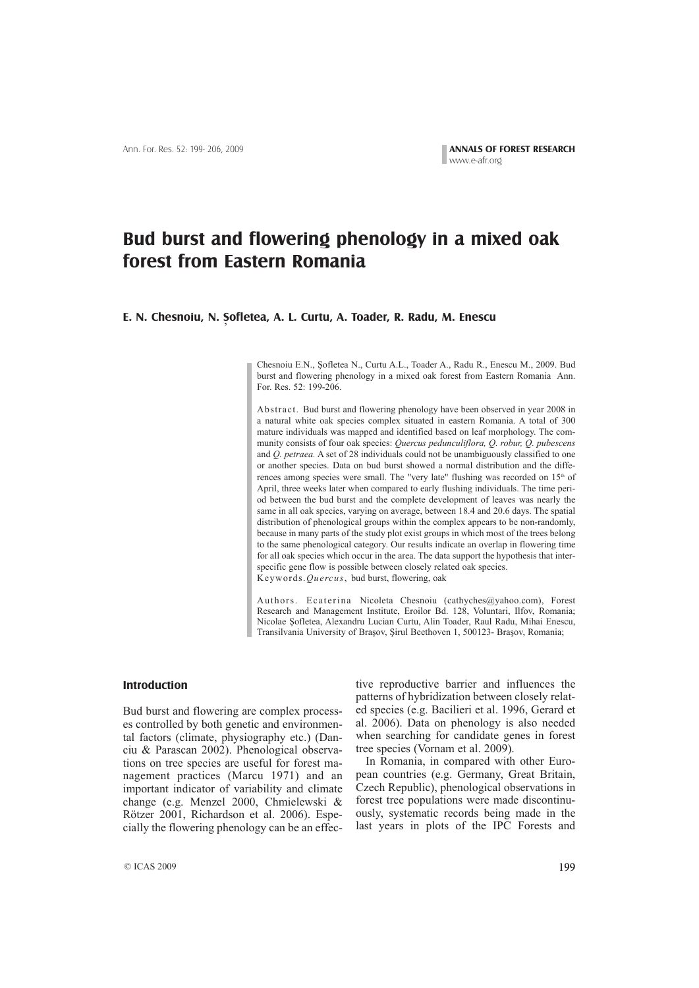## **Bud burst and flowering phenology in a mixed oak forest from Eastern Romania**

## E. N. Chesnoiu, N. Șofletea, A. L. Curtu, A. Toader, R. Radu, M. Enescu

Chesnoiu E.N., Şofletea N., Curtu A.L., Toader A., Radu R., Enescu M., 2009. Bud burst and flowering phenology in a mixed oak forest from Eastern Romania Ann. For. Res. 52: 199-206.

Abstract. Bud burst and flowering phenology have been observed in year 2008 in a natural white oak species complex situated in eastern Romania. A total of 300 mature individuals was mapped and identified based on leaf morphology. The community consists of four oak species: *Quercus pedunculiflora, Q. robur, Q. pubescens* and *Q. petraea.* A set of 28 individuals could not be unambiguously classified to one or another species. Data on bud burst showed a normal distribution and the differences among species were small. The "very late" flushing was recorded on  $15<sup>th</sup>$  of April, three weeks later when compared to early flushing individuals. The time period between the bud burst and the complete development of leaves was nearly the same in all oak species, varying on average, between 18.4 and 20.6 days. The spatial distribution of phenological groups within the complex appears to be non-randomly, because in many parts of the study plot exist groups in which most of the trees belong to the same phenological category. Our results indicate an overlap in flowering time for all oak species which occur in the area. The data support the hypothesis that interspecific gene flow is possible between closely related oak species. Keywords.*Quercus*, bud burst, flowering, oak

Authors. Ecaterina Nicoleta Chesnoiu (cathyches@yahoo.com), Forest Research and Management Institute, Eroilor Bd. 128, Voluntari, Ilfov, Romania; Nicolae Sofletea, Alexandru Lucian Curtu, Alin Toader, Raul Radu, Mihai Enescu, Transilvania University of Brasov, Sirul Beethoven 1, 500123- Brasov, Romania;

## **Introduction**

Bud burst and flowering are complex processes controlled by both genetic and environmental factors (climate, physiography etc.) (Danciu & Parascan 2002). Phenological observations on tree species are useful for forest management practices (Marcu 1971) and an important indicator of variability and climate change (e.g. Menzel 2000, Chmielewski & Rötzer 2001, Richardson et al. 2006). Especially the flowering phenology can be an effective reproductive barrier and influences the patterns of hybridization between closely related species (e.g. Bacilieri et al. 1996, Gerard et al. 2006). Data on phenology is also needed when searching for candidate genes in forest tree species (Vornam et al. 2009).

In Romania, in compared with other European countries (e.g. Germany, Great Britain, Czech Republic), phenological observations in forest tree populations were made discontinuously, systematic records being made in the last years in plots of the IPC Forests and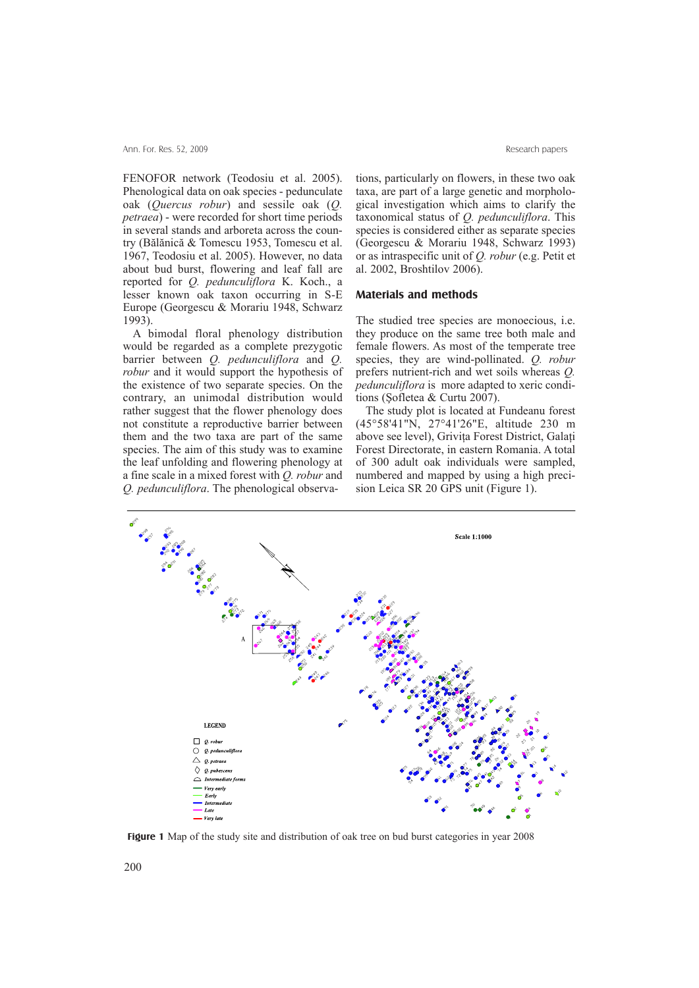FENOFOR network (Teodosiu et al. 2005). Phenological data on oak species - pedunculate oak (*Quercus robur*) and sessile oak (*Q. petraea*) - were recorded for short time periods in several stands and arboreta across the country (Bãlãnicã & Tomescu 1953, Tomescu et al. 1967, Teodosiu et al. 2005). However, no data about bud burst, flowering and leaf fall are reported for *Q. pedunculiflora* K. Koch., a lesser known oak taxon occurring in S-E Europe (Georgescu & Morariu 1948, Schwarz 1993).

A bimodal floral phenology distribution would be regarded as a complete prezygotic barrier between *Q. pedunculiflora* and *Q. robur* and it would support the hypothesis of the existence of two separate species. On the contrary, an unimodal distribution would rather suggest that the flower phenology does not constitute a reproductive barrier between them and the two taxa are part of the same species. The aim of this study was to examine the leaf unfolding and flowering phenology at a fine scale in a mixed forest with *Q. robur* and tions, particularly on flowers, in these two oak taxa, are part of a large genetic and morphological investigation which aims to clarify the taxonomical status of *Q. pedunculiflora*. This species is considered either as separate species (Georgescu & Morariu 1948, Schwarz 1993) or as intraspecific unit of *Q. robur* (e.g. Petit et al. 2002, Broshtilov 2006).

## **Materials and methods**

The studied tree species are monoecious, i.e. they produce on the same tree both male and female flowers. As most of the temperate tree species, they are wind-pollinated. *Q. robur* prefers nutrient-rich and wet soils whereas *Q. pedunculiflora* is more adapted to xeric conditions (Sofletea  $&$  Curtu 2007).

The study plot is located at Fundeanu forest (45°58'41"N, 27°41'26"E, altitude 230 m above see level), Grivita Forest District, Galati Forest Directorate, in eastern Romania. A total of 300 adult oak individuals were sampled, numbered and mapped by using a high precision Leica SR 20 GPS unit (Figure 1).



**Figure 1** Map of the study site and distribution of oak tree on bud burst categories in year 2008